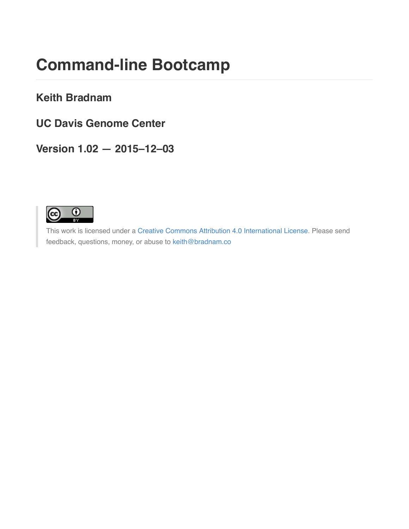# **Command-line Bootcamp**

**Keith Bradnam**

**UC Davis Genome Center**

**Version 1.02 — 2015–12–03**



This work is licensed under a [Creative Commons Attribution 4.0 International License](http://creativecommons.org/licenses/by/4.0/). Please send feedback, questions, money, or abuse to [keith@bradnam.co](mailto:keith@bradnam.co)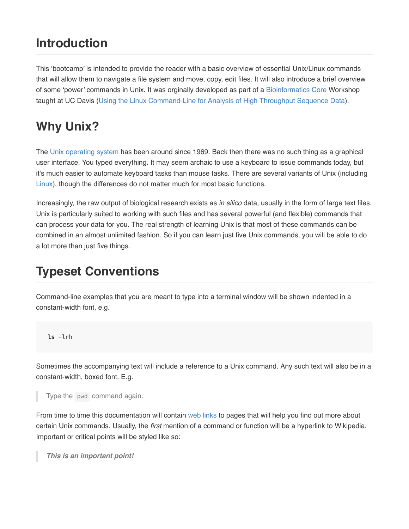## **Introduction**

This 'bootcamp' is intended to provide the reader with a basic overview of essential Unix/Linux commands that will allow them to navigate a file system and move, copy, edit files. It will also introduce a brief overview of some 'power' commands in Unix. It was orginally developed as part of a [Bioinformatics Core](http://bioinformatics.ucdavis.edu/) Workshop taught at UC Davis ([Using the Linux Command-Line for Analysis of High Throughput Sequence Data\)](http://training.bioinformatics.ucdavis.edu/docs/2015/06/june-2015-workshop/index.html).

## **Why Unix?**

The [Unix operating system](http://en.wikipedia.org/wiki/Unix) has been around since 1969. Back then there was no such thing as a graphical user interface. You typed everything. It may seem archaic to use a keyboard to issue commands today, but it's much easier to automate keyboard tasks than mouse tasks. There are several variants of Unix (including [Linux\)](http://en.wikipedia.org/wiki/Linux), though the differences do not matter much for most basic functions.

Increasingly, the raw output of biological research exists as *in silico* data, usually in the form of large text files. Unix is particularly suited to working with such files and has several powerful (and flexible) commands that can process your data for you. The real strength of learning Unix is that most of these commands can be combined in an almost unlimited fashion. So if you can learn just five Unix commands, you will be able to do a lot more than just five things.

## **Typeset Conventions**

Command-line examples that you are meant to type into a terminal window will be shown indented in a constant-width font, e.g.

```
ls -lrh
```
Sometimes the accompanying text will include a reference to a Unix command. Any such text will also be in a constant-width, boxed font. E.g.

Type the pwd command again.

From time to time this documentation will contain [web links](http://en.wikipedia.org/wiki/Hyperlink) to pages that will help you find out more about certain Unix commands. Usually, the *first* mention of a command or function will be a hyperlink to Wikipedia. Important or critical points will be styled like so:

*This is an important point!*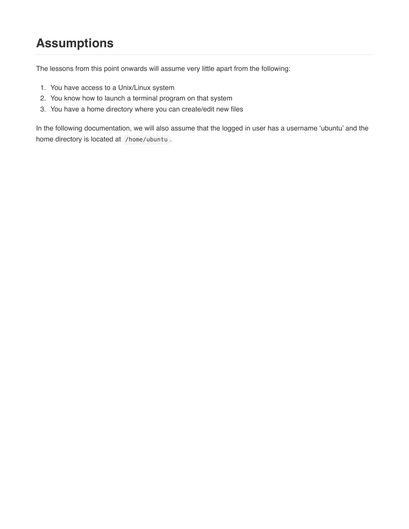## **Assumptions**

The lessons from this point onwards will assume very little apart from the following:

- 1. You have access to a Unix/Linux system
- 2. You know how to launch a terminal program on that system
- 3. You have a home directory where you can create/edit new files

In the following documentation, we will also assume that the logged in user has a username 'ubuntu' and the home directory is located at /home/ubuntu .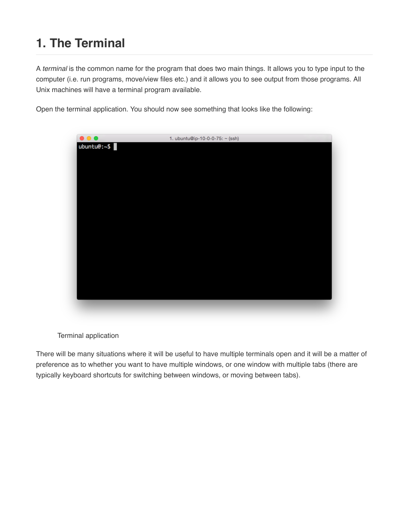## **1. The Terminal**

A *terminal* is the common name for the program that does two main things. It allows you to type input to the computer (i.e. run programs, move/view files etc.) and it allows you to see output from those programs. All Unix machines will have a terminal program available.

Open the terminal application. You should now see something that looks like the following:



Terminal application

There will be many situations where it will be useful to have multiple terminals open and it will be a matter of preference as to whether you want to have multiple windows, or one window with multiple tabs (there are typically keyboard shortcuts for switching between windows, or moving between tabs).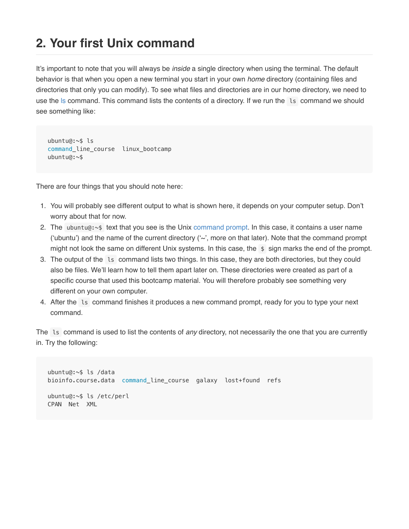### **2. Your first Unix command**

It's important to note that you will always be *inside* a single directory when using the terminal. The default behavior is that when you open a new terminal you start in your own *home* directory (containing files and directories that only you can modify). To see what files and directories are in our home directory, we need to use the [ls](http://en.wikipedia.org/wiki/Ls) command. This command lists the contents of a directory. If we run the ls command we should see something like:

ubuntu@:~\$ ls command\_line\_course linux\_bootcamp ubuntu@:~\$

There are four things that you should note here:

- 1. You will probably see different output to what is shown here, it depends on your computer setup. Don't worry about that for now.
- 2. The ubuntu@: $\sim$ \$ text that you see is the Unix [command prompt.](http://en.wikipedia.org/wiki/Command_line_interface) In this case, it contains a user name ('ubuntu') and the name of the current directory  $(\sim)$ , more on that later). Note that the command prompt might not look the same on different Unix systems. In this case, the  $\frac{1}{2}$  sign marks the end of the prompt.
- 3. The output of the ls command lists two things. In this case, they are both directories, but they could also be files. We'll learn how to tell them apart later on. These directories were created as part of a specific course that used this bootcamp material. You will therefore probably see something very different on your own computer.
- 4. After the ls command finishes it produces a new command prompt, ready for you to type your next command.

The ls command is used to list the contents of *any* directory, not necessarily the one that you are currently in. Try the following:

```
ubuntu@:~$ ls /data
bioinfo.course.data command_line_course galaxy lost+found refs
ubuntu@:~$ ls /etc/perl
CPAN Net XML
```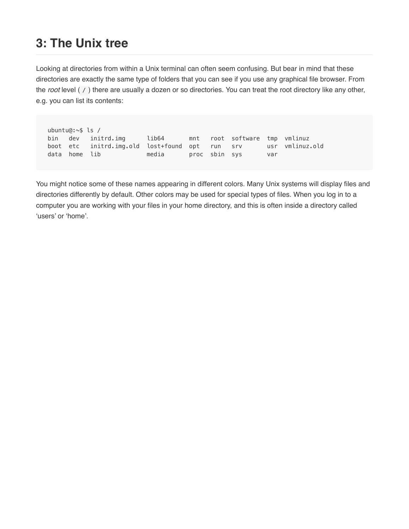### **3: The Unix tree**

Looking at directories from within a Unix terminal can often seem confusing. But bear in mind that these directories are exactly the same type of folders that you can see if you use any graphical file browser. From the *root* level ( / ) there are usually a dozen or so directories. You can treat the root directory like any other, e.g. you can list its contents:

ubuntu@:~\$ ls / bin dev initrd.img lib64 mnt root software tmp vmlinuz boot etc initrd.img.old lost+found opt run srv usr vmlinuz.old data home lib media proc sbin sys var

You might notice some of these names appearing in different colors. Many Unix systems will display files and directories differently by default. Other colors may be used for special types of files. When you log in to a computer you are working with your files in your home directory, and this is often inside a directory called 'users' or 'home'.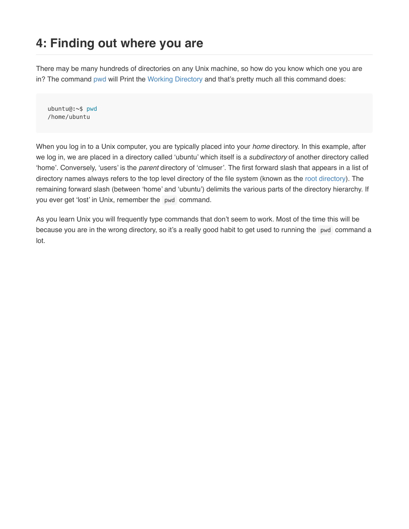### **4: Finding out where you are**

There may be many hundreds of directories on any Unix machine, so how do you know which one you are in? The command [pwd](http://en.wikipedia.org/wiki/Pwd) will Print the [Working Directory](http://en.wikipedia.org/wiki/Working_directory) and that's pretty much all this command does:

ubuntu@:~\$ pwd /home/ubuntu

When you log in to a Unix computer, you are typically placed into your *home* directory. In this example, after we log in, we are placed in a directory called 'ubuntu' which itself is a *subdirectory* of another directory called 'home'. Conversely, 'users' is the *parent* directory of 'clmuser'. The first forward slash that appears in a list of directory names always refers to the top level directory of the file system (known as the [root directory\)](http://en.wikipedia.org/wiki/Root_directory). The remaining forward slash (between 'home' and 'ubuntu') delimits the various parts of the directory hierarchy. If you ever get 'lost' in Unix, remember the pwd command.

As you learn Unix you will frequently type commands that don't seem to work. Most of the time this will be because you are in the wrong directory, so it's a really good habit to get used to running the pwd command a lot.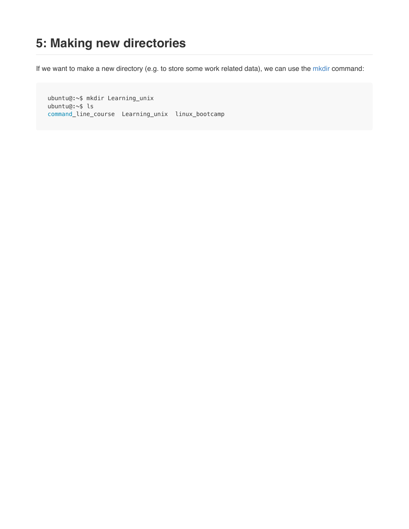## **5: Making new directories**

If we want to make a new directory (e.g. to store some work related data), we can use the [mkdir](http://en.wikipedia.org/wiki/Tilde#Directories_and_URLs) command:

ubuntu@:~\$ mkdir Learning\_unix ubuntu@:~\$ ls command\_line\_course Learning\_unix linux\_bootcamp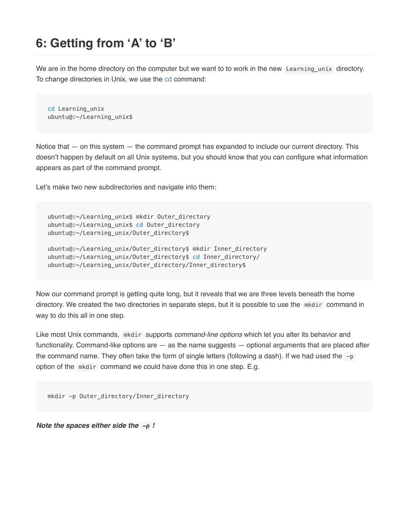### **6: Getting from 'A' to 'B'**

We are in the home directory on the computer but we want to to work in the new Learning unix directory. To change directories in Unix, we use the [cd](http://en.wikipedia.org/wiki/Cd_(command)) command:

cd Learning\_unix ubuntu@:~/Learning\_unix\$

Notice that — on this system — the command prompt has expanded to include our current directory. This doesn't happen by default on all Unix systems, but you should know that you can configure what information appears as part of the command prompt.

Let's make two new subdirectories and navigate into them:

ubuntu@:~/Learning\_unix\$ mkdir Outer\_directory ubuntu@:~/Learning unix\$ cd Outer directory ubuntu@:~/Learning unix/Outer directory\$ ubuntu@:~/Learning\_unix/Outer\_directory\$ mkdir Inner\_directory ubuntu@:~/Learning\_unix/Outer\_directory\$ cd Inner\_directory/

ubuntu@:~/Learning\_unix/Outer\_directory/Inner\_directory\$

Now our command prompt is getting quite long, but it reveals that we are three levels beneath the home directory. We created the two directories in separate steps, but it is possible to use the mkdir command in way to do this all in one step.

Like most Unix commands, mkdir supports *command-line options* which let you alter its behavior and functionality. Command-like options are — as the name suggests — optional arguments that are placed after the command name. They often take the form of single letters (following a dash). If we had used the  $-p$ option of the mkdir command we could have done this in one step. E.g.

mkdir -p Outer\_directory/Inner\_directory

*Note the spaces either side the -p !*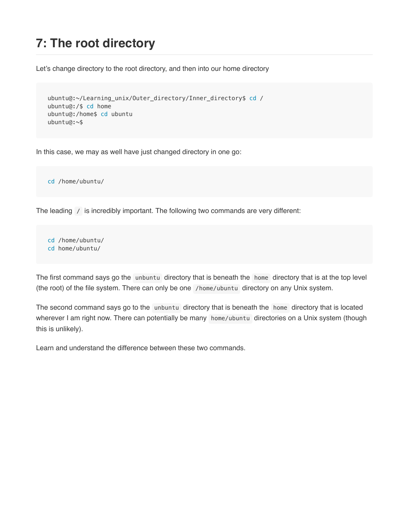### **7: The root directory**

Let's change directory to the root directory, and then into our home directory

```
ubuntu@:~/Learning_unix/Outer_directory/Inner_directory$ cd /
ubuntu@:/$ cd home
ubuntu@:/home$ cd ubuntu
ubuntu@:~$
```
In this case, we may as well have just changed directory in one go:

cd /home/ubuntu/

The leading / is incredibly important. The following two commands are very different:

cd /home/ubuntu/ cd home/ubuntu/

The first command says go the unbuntu directory that is beneath the home directory that is at the top level (the root) of the file system. There can only be one /home/ubuntu directory on any Unix system.

The second command says go to the unbuntu directory that is beneath the home directory that is located wherever I am right now. There can potentially be many home/ubuntu directories on a Unix system (though this is unlikely).

Learn and understand the difference between these two commands.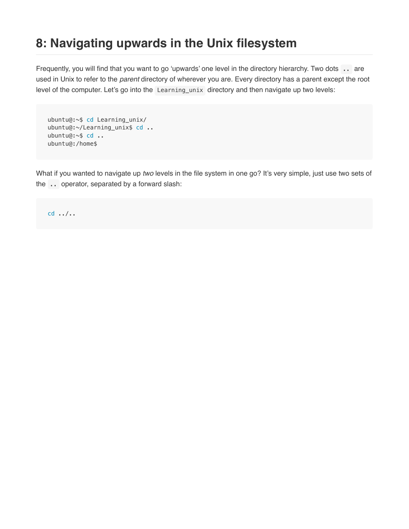### **8: Navigating upwards in the Unix filesystem**

Frequently, you will find that you want to go 'upwards' one level in the directory hierarchy. Two dots .. are used in Unix to refer to the *parent* directory of wherever you are. Every directory has a parent except the root level of the computer. Let's go into the Learning\_unix directory and then navigate up two levels:

```
ubuntu@:~$ cd Learning_unix/
ubuntu@:~/Learning_unix$ cd ..
ubuntu@:~$ cd ..
ubuntu@:/home$
```
What if you wanted to navigate up *two* levels in the file system in one go? It's very simple, just use two sets of the .. operator, separated by a forward slash:

cd ../..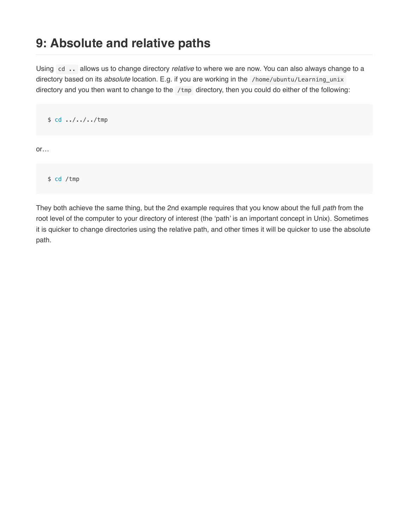### **9: Absolute and relative paths**

Using cd .. allows us to change directory *relative* to where we are now. You can also always change to a directory based on its *absolute* location. E.g. if you are working in the /home/ubuntu/Learning\_unix directory and you then want to change to the /tmp directory, then you could do either of the following:

\$ cd ../../../tmp

or…

\$ cd /tmp

They both achieve the same thing, but the 2nd example requires that you know about the full *path* from the root level of the computer to your directory of interest (the 'path' is an important concept in Unix). Sometimes it is quicker to change directories using the relative path, and other times it will be quicker to use the absolute path.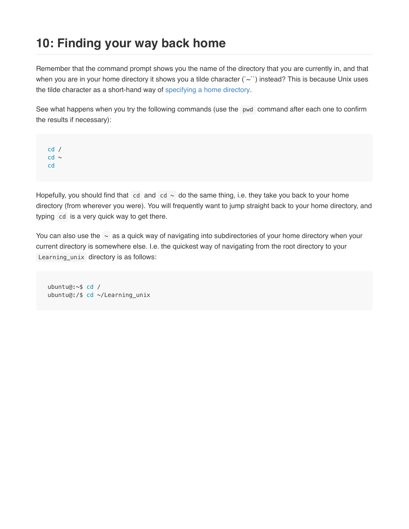### **10: Finding your way back home**

Remember that the command prompt shows you the name of the directory that you are currently in, and that when you are in your home directory it shows you a tilde character  $(\sim)$  instead? This is because Unix uses the tilde character as a short-hand way of [specifying a home directory.](http://en.wikipedia.org/wiki/Tilde#Directories_and_URLs)

See what happens when you try the following commands (use the pwd command after each one to confirm the results if necessary):

cd /  $cd \sim$ cd

Hopefully, you should find that cd and cd  $\sim$  do the same thing, i.e. they take you back to your home directory (from wherever you were). You will frequently want to jump straight back to your home directory, and typing cd is a very quick way to get there.

You can also use the  $\sim$  as a quick way of navigating into subdirectories of your home directory when your current directory is somewhere else. I.e. the quickest way of navigating from the root directory to your Learning\_unix directory is as follows:

```
ubuntu@:~$ cd /
ubuntu@:/$ cd ~/Learning_unix
```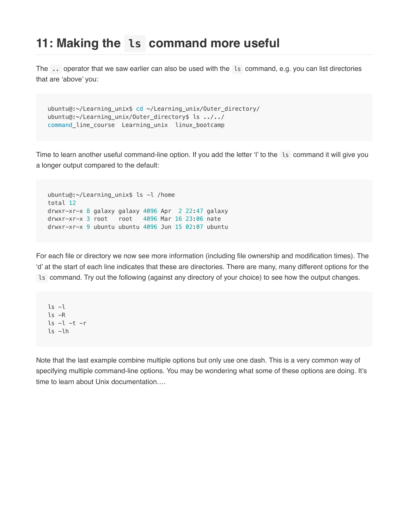### **11: Making the ls command more useful**

The .. operator that we saw earlier can also be used with the ls command, e.g. you can list directories that are 'above' you:

ubuntu@:~/Learning\_unix\$ cd ~/Learning\_unix/Outer\_directory/ ubuntu@:~/Learning\_unix/Outer\_directory\$ ls ../../ command\_line\_course Learning\_unix linux\_bootcamp

Time to learn another useful command-line option. If you add the letter 'l' to the ls command it will give you a longer output compared to the default:

ubuntu@:~/Learning\_unix\$ ls -l /home total 12 drwxr-xr-x 8 galaxy galaxy 4096 Apr 2 22:47 galaxy drwxr-xr-x 3 root root 4096 Mar 16 23:06 nate drwxr-xr-x 9 ubuntu ubuntu 4096 Jun 15 02:07 ubuntu

For each file or directory we now see more information (including file ownership and modification times). The 'd' at the start of each line indicates that these are directories. There are many, many different options for the ls command. Try out the following (against any directory of your choice) to see how the output changes.

ls -l ls -R ls -l -t -r ls -lh

Note that the last example combine multiple options but only use one dash. This is a very common way of specifying multiple command-line options. You may be wondering what some of these options are doing. It's time to learn about Unix documentation….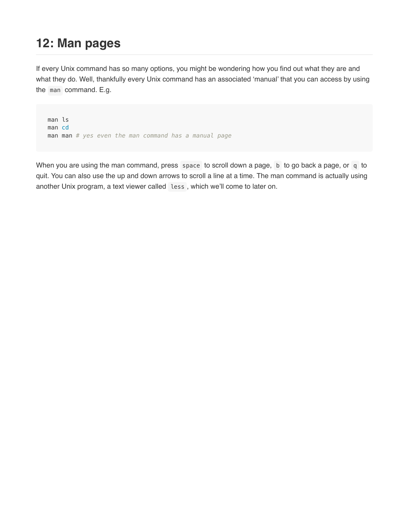### **12: Man pages**

If every Unix command has so many options, you might be wondering how you find out what they are and what they do. Well, thankfully every Unix command has an associated 'manual' that you can access by using the man command. E.g.

man ls man cd man man *# yes even the man command has a manual page*

When you are using the man command, press space to scroll down a page, b to go back a page, or q to quit. You can also use the up and down arrows to scroll a line at a time. The man command is actually using another Unix program, a text viewer called less, which we'll come to later on.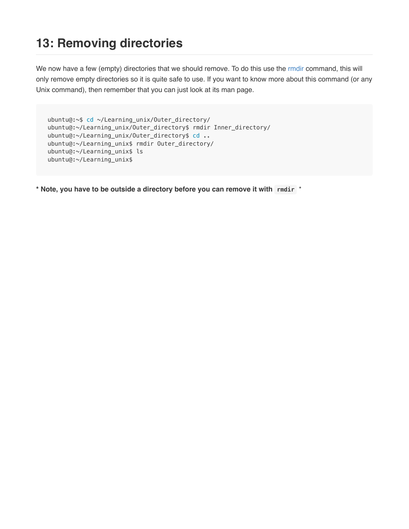### **13: Removing directories**

We now have a few (empty) directories that we should remove. To do this use the [rmdir](http://en.wikipedia.org/wiki/Rmdir) command, this will only remove empty directories so it is quite safe to use. If you want to know more about this command (or any Unix command), then remember that you can just look at its man page.

```
ubuntu@:~$ cd ~/Learning_unix/Outer_directory/
ubuntu@:~/Learning_unix/Outer_directory$ rmdir Inner_directory/
ubuntu@:~/Learning_unix/Outer_directory$ cd ..
ubuntu@:~/Learning_unix$ rmdir Outer_directory/
ubuntu@:~/Learning_unix$ ls
ubuntu@:~/Learning_unix$
```
**\* Note, you have to be outside a directory before you can remove it with rmdir** \*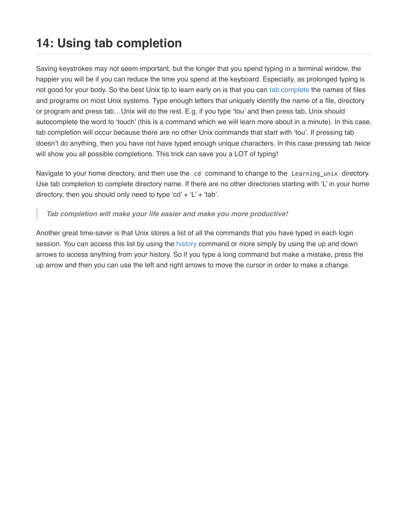## **14: Using tab completion**

Saving keystrokes may not seem important, but the longer that you spend typing in a terminal window, the happier you will be if you can reduce the time you spend at the keyboard. Especially, as prolonged typing is not good for your body. So the best Unix tip to learn early on is that you can [tab complete](http://en.wikipedia.org/wiki/Command_line_completion) the names of files and programs on most Unix systems. Type enough letters that uniquely identify the name of a file, directory or program and press tab…Unix will do the rest. E.g. if you type 'tou' and then press tab, Unix should autocomplete the word to 'touch' (this is a command which we will learn more about in a minute). In this case, tab completion will occur because there are no other Unix commands that start with 'tou'. If pressing tab doesn't do anything, then you have not have typed enough unique characters. In this case pressing tab *twice* will show you all possible completions. This trick can save you a LOT of typing!

Navigate to your home directory, and then use the cd command to change to the Learning\_unix directory. Use tab completion to complete directory name. If there are no other directories starting with 'L' in your home directory, then you should only need to type 'cd' + 'L' + 'tab'.

#### *Tab completion will make your life easier and make you more productive!*

Another great time-saver is that Unix stores a list of all the commands that you have typed in each login session. You can access this list by using the [history](http://en.wikipedia.org/wiki/History_(Unix)) command or more simply by using the up and down arrows to access anything from your history. So if you type a long command but make a mistake, press the up arrow and then you can use the left and right arrows to move the cursor in order to make a change.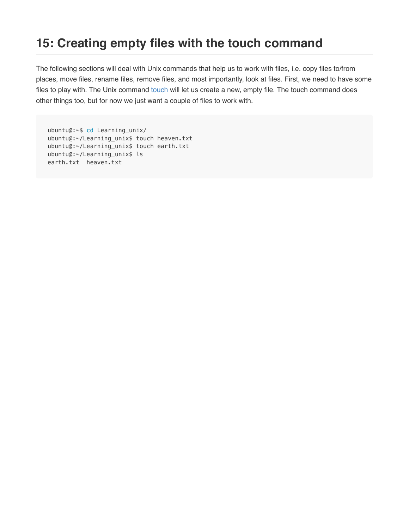### **15: Creating empty files with the touch command**

The following sections will deal with Unix commands that help us to work with files, i.e. copy files to/from places, move files, rename files, remove files, and most importantly, look at files. First, we need to have some files to play with. The Unix command [touch](http://en.wikipedia.org/wiki/Command_line_completion) will let us create a new, empty file. The touch command does other things too, but for now we just want a couple of files to work with.

ubuntu@:~\$ cd Learning\_unix/ ubuntu@:~/Learning\_unix\$ touch heaven.txt ubuntu@:~/Learning\_unix\$ touch earth.txt ubuntu@:~/Learning\_unix\$ ls earth.txt heaven.txt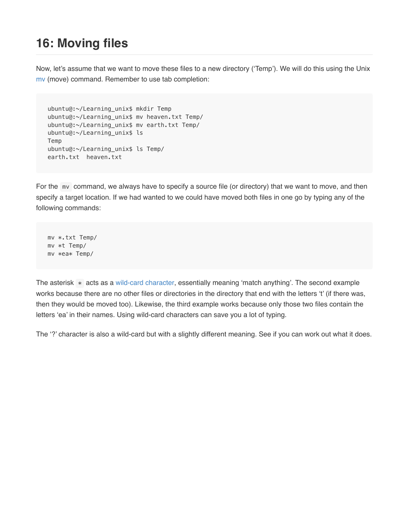### **16: Moving files**

Now, let's assume that we want to move these files to a new directory ('Temp'). We will do this using the Unix [mv](http://en.wikipedia.org/wiki/Mv) (move) command. Remember to use tab completion:

```
ubuntu@:~/Learning_unix$ mkdir Temp
ubuntu@:~/Learning_unix$ mv heaven.txt Temp/
ubuntu@:~/Learning_unix$ mv earth.txt Temp/
ubuntu@:~/Learning_unix$ ls
Temp
ubuntu@:~/Learning_unix$ ls Temp/
earth.txt heaven.txt
```
For the mv command, we always have to specify a source file (or directory) that we want to move, and then specify a target location. If we had wanted to we could have moved both files in one go by typing any of the following commands:

mv \*.txt Temp/ mv \*t Temp/ mv \*ea\* Temp/

The asterisk  $*$  acts as a [wild-card character](http://en.wikipedia.org/wiki/Wildcard_character), essentially meaning 'match anything'. The second example works because there are no other files or directories in the directory that end with the letters 't' (if there was, then they would be moved too). Likewise, the third example works because only those two files contain the letters 'ea' in their names. Using wild-card characters can save you a lot of typing.

The '?' character is also a wild-card but with a slightly different meaning. See if you can work out what it does.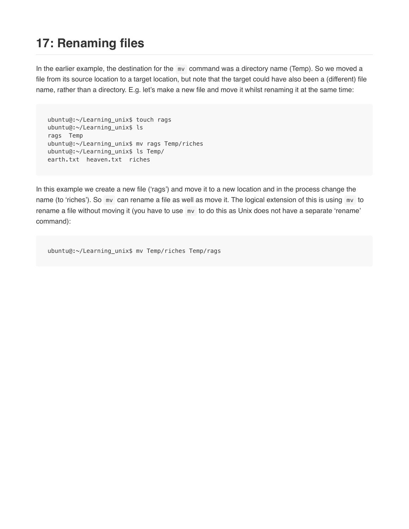### **17: Renaming files**

In the earlier example, the destination for the mv command was a directory name (Temp). So we moved a file from its source location to a target location, but note that the target could have also been a (different) file name, rather than a directory. E.g. let's make a new file and move it whilst renaming it at the same time:

```
ubuntu@:~/Learning_unix$ touch rags
ubuntu@:~/Learning_unix$ ls
rags Temp
ubuntu@:~/Learning_unix$ mv rags Temp/riches
ubuntu@:~/Learning_unix$ ls Temp/
earth.txt heaven.txt riches
```
In this example we create a new file ('rags') and move it to a new location and in the process change the name (to 'riches'). So mv can rename a file as well as move it. The logical extension of this is using mv to rename a file without moving it (you have to use mv to do this as Unix does not have a separate 'rename' command):

ubuntu@:~/Learning\_unix\$ mv Temp/riches Temp/rags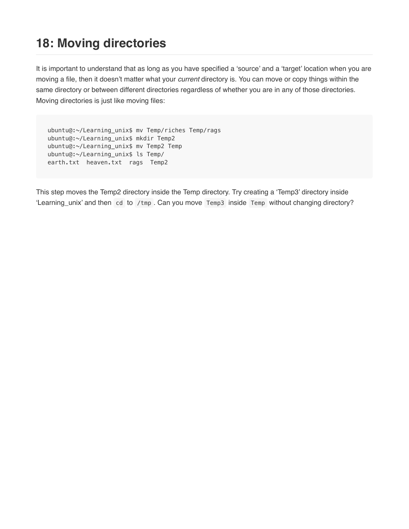### **18: Moving directories**

It is important to understand that as long as you have specified a 'source' and a 'target' location when you are moving a file, then it doesn't matter what your *current* directory is. You can move or copy things within the same directory or between different directories regardless of whether you are in any of those directories. Moving directories is just like moving files:

```
ubuntu@:~/Learning unix$ mv Temp/riches Temp/rags
ubuntu@:~/Learning_unix$ mkdir Temp2
ubuntu@:~/Learning_unix$ mv Temp2 Temp
ubuntu@:~/Learning_unix$ ls Temp/
earth.txt heaven.txt rags Temp2
```
This step moves the Temp2 directory inside the Temp directory. Try creating a 'Temp3' directory inside 'Learning\_unix' and then cd to /tmp . Can you move Temp3 inside Temp without changing directory?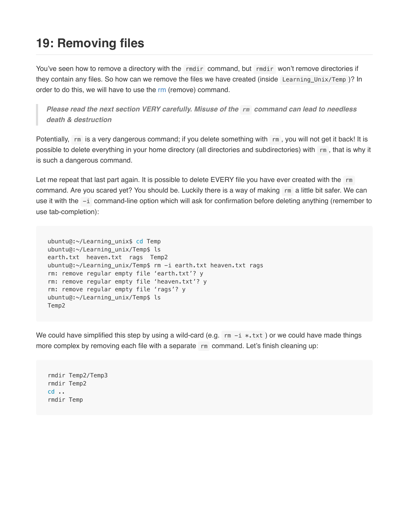### **19: Removing files**

You've seen how to remove a directory with the rmdir command, but rmdir won't remove directories if they contain any files. So how can we remove the files we have created (inside Learning Unix/Temp )? In order to do this, we will have to use the [rm](http://en.wikipedia.org/wiki/Rm_(Unix)) (remove) command.

*Please read the next section VERY carefully. Misuse of the rm command can lead to needless death & destruction*

Potentially, rm is a very dangerous command; if you delete something with rm , you will not get it back! It is possible to delete everything in your home directory (all directories and subdirectories) with rm , that is why it is such a dangerous command.

Let me repeat that last part again. It is possible to delete EVERY file you have ever created with the rm command. Are you scared yet? You should be. Luckily there is a way of making rm a little bit safer. We can use it with the -i command-line option which will ask for confirmation before deleting anything (remember to use tab-completion):

ubuntu@:~/Learning unix\$ cd Temp ubuntu@:~/Learning\_unix/Temp\$ ls earth.txt heaven.txt rags Temp2 ubuntu@:~/Learning\_unix/Temp\$ rm -i earth.txt heaven.txt rags rm: remove regular empty file 'earth.txt'? y rm: remove regular empty file 'heaven.txt'? y rm: remove regular empty file 'rags'? y ubuntu@:~/Learning\_unix/Temp\$ ls Temp2

We could have simplified this step by using a wild-card (e.g.  $rm -i * .txt$ ) or we could have made things more complex by removing each file with a separate rm command. Let's finish cleaning up:

rmdir Temp2/Temp3 rmdir Temp2  $cd \ldots$ rmdir Temp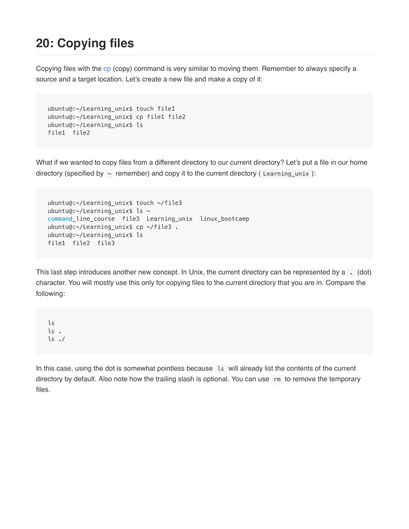### **20: Copying files**

Copying files with the [cp](http://en.wikipedia.org/wiki/Cp_(Unix)) (copy) command is very similar to moving them. Remember to always specify a source and a target location. Let's create a new file and make a copy of it:

```
ubuntu@:~/Learning_unix$ touch file1
ubuntu@:~/Learning_unix$ cp file1 file2
ubuntu@:~/Learning_unix$ ls
file1 file2
```
What if we wanted to copy files from a different directory to our current directory? Let's put a file in our home directory (specified by  $\sim$  remember) and copy it to the current directory (Learning\_unix):

```
ubuntu@:~/Learning unix$ touch ~/file3
ubuntu@:~/Learning unix$ ls ~
command_line_course file3 Learning_unix linux_bootcamp
ubuntu@:~/Learning_unix$ cp ~/file3 .
ubuntu@:~/Learning_unix$ ls
file1 file2 file3
```
This last step introduces another new concept. In Unix, the current directory can be represented by a . (dot) character. You will mostly use this only for copying files to the current directory that you are in. Compare the following:

ls ls . ls ./

In this case, using the dot is somewhat pointless because Ls will already list the contents of the current directory by default. Also note how the trailing slash is optional. You can use rm to remove the temporary files.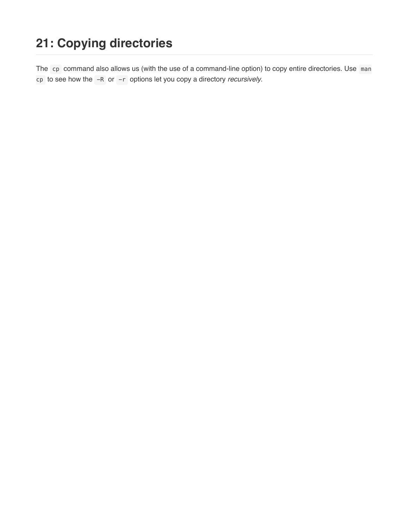## **21: Copying directories**

The cp command also allows us (with the use of a command-line option) to copy entire directories. Use man cp to see how the -R or -r options let you copy a directory *recursively*.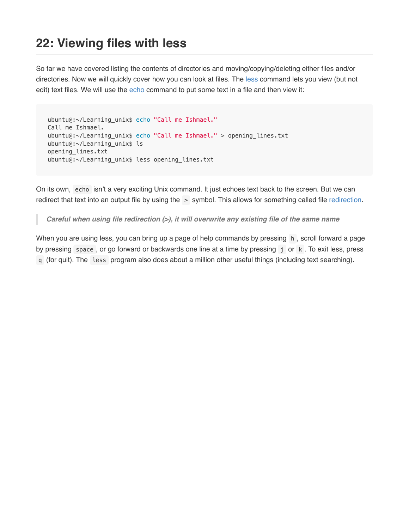### **22: Viewing files with less**

So far we have covered listing the contents of directories and moving/copying/deleting either files and/or directories. Now we will quickly cover how you can look at files. The [less](http://en.wikipedia.org/wiki/Less_(Unix)) command lets you view (but not edit) text files. We will use the [echo](http://en.wikipedia.org/wiki/Echo_(command)) command to put some text in a file and then view it:

```
ubuntu@:~/Learning_unix$ echo "Call me Ishmael."
Call me Ishmael.
ubuntu@:~/Learning_unix$ echo "Call me Ishmael." > opening_lines.txt
ubuntu@:~/Learning_unix$ ls
opening_lines.txt
ubuntu@:~/Learning_unix$ less opening_lines.txt
```
On its own, echo isn't a very exciting Unix command. It just echoes text back to the screen. But we can redirect that text into an output file by using the  $\ge$  symbol. This allows for something called file [redirection.](http://en.wikipedia.org/wiki/Redirection_(Unix))

*Careful when using file redirection (>), it will overwrite any existing file of the same name*

When you are using less, you can bring up a page of help commands by pressing h, scroll forward a page by pressing space , or go forward or backwards one line at a time by pressing j or k . To exit less, press q (for quit). The less program also does about a million other useful things (including text searching).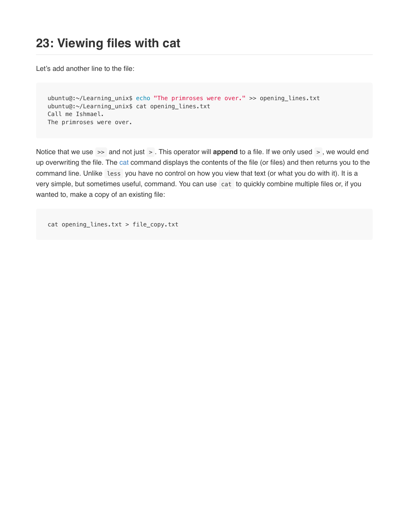### **23: Viewing files with cat**

Let's add another line to the file:

```
ubuntu@:~/Learning_unix$ echo "The primroses were over." >> opening_lines.txt
ubuntu@:~/Learning_unix$ cat opening_lines.txt
Call me Ishmael.
The primroses were over.
```
Notice that we use >> and not just > . This operator will **append** to a file. If we only used > , we would end up overwriting the file. The [cat](http://en.wikipedia.org/wiki/Cat_(Unix)) command displays the contents of the file (or files) and then returns you to the command line. Unlike less you have no control on how you view that text (or what you do with it). It is a very simple, but sometimes useful, command. You can use cat to quickly combine multiple files or, if you wanted to, make a copy of an existing file:

cat opening\_lines.txt > file\_copy.txt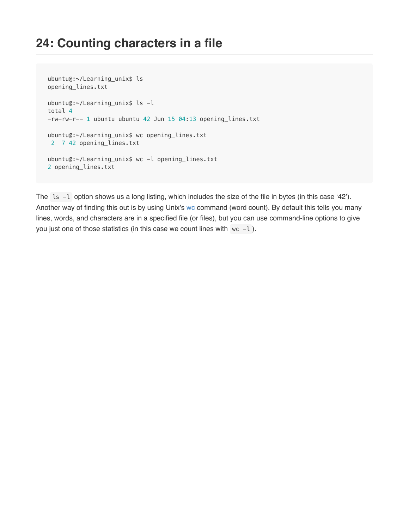### **24: Counting characters in a file**

```
ubuntu@:~/Learning_unix$ ls
opening_lines.txt
ubuntu@:~/Learning_unix$ ls -l
total 4
-rw-rw-r-- 1 ubuntu ubuntu 42 Jun 15 04:13 opening_lines.txt
ubuntu@:~/Learning_unix$ wc opening_lines.txt
2 7 42 opening_lines.txt
ubuntu@:~/Learning_unix$ wc -l opening_lines.txt
2 opening_lines.txt
```
The ls -l option shows us a long listing, which includes the size of the file in bytes (in this case '42'). Another way of finding this out is by using Unix's [wc](https://en.wikipedia.org/wiki/Wc_(Unix)) command (word count). By default this tells you many lines, words, and characters are in a specified file (or files), but you can use command-line options to give you just one of those statistics (in this case we count lines with  $wc -l$ ).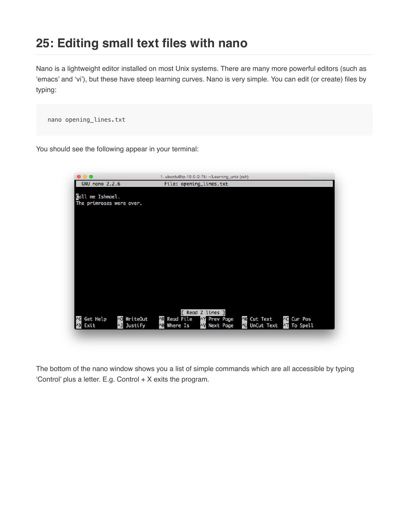### **25: Editing small text files with nano**

Nano is a lightweight editor installed on most Unix systems. There are many more powerful editors (such as 'emacs' and 'vi'), but these have steep learning curves. Nano is very simple. You can edit (or create) files by typing:

```
nano opening_lines.txt
```
You should see the following appear in your terminal:



The bottom of the nano window shows you a list of simple commands which are all accessible by typing 'Control' plus a letter. E.g. Control + X exits the program.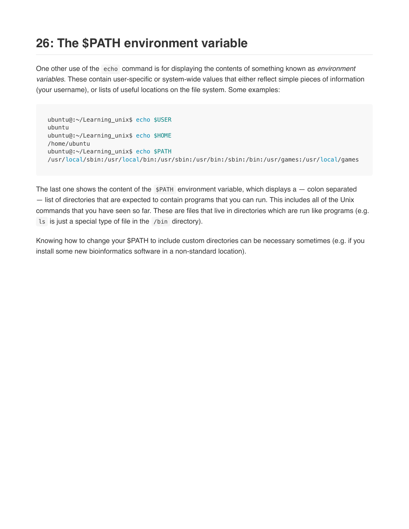### **26: The \$PATH environment variable**

One other use of the echo command is for displaying the contents of something known as *environment variables*. These contain user-specific or system-wide values that either reflect simple pieces of information (your username), or lists of useful locations on the file system. Some examples:

```
ubuntu@:~/Learning_unix$ echo $USER
ubuntu
ubuntu@:~/Learning_unix$ echo $HOME
/home/ubuntu
ubuntu@:~/Learning_unix$ echo $PATH
/usr/local/sbin:/usr/local/bin:/usr/sbin:/usr/bin:/sbin:/bin:/usr/games:/usr/local/games
```
The last one shows the content of the  $$$ PATH environment variable, which displays a  $-$  colon separated — list of directories that are expected to contain programs that you can run. This includes all of the Unix commands that you have seen so far. These are files that live in directories which are run like programs (e.g. ls is just a special type of file in the /bin directory).

Knowing how to change your \$PATH to include custom directories can be necessary sometimes (e.g. if you install some new bioinformatics software in a non-standard location).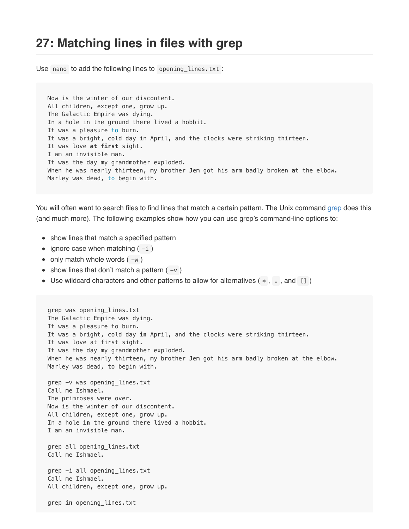### **27: Matching lines in files with grep**

Use nano to add the following lines to opening\_lines.txt :

Now is the winter of our discontent. All children, except one, grow up. The Galactic Empire was dying. In a hole in the ground there lived a hobbit. It was a pleasure to burn. It was a bright, cold day in April, and the clocks were striking thirteen. It was love **at first** sight. I am an invisible man. It was the day my grandmother exploded. When he was nearly thirteen, my brother Jem got his arm badly broken **at** the elbow. Marley was dead, to begin with.

You will often want to search files to find lines that match a certain pattern. The Unix command [grep](http://en.wikipedia.org/wiki/Grep) does this (and much more). The following examples show how you can use grep's command-line options to:

- show lines that match a specified pattern
- ignore case when matching  $(-i)$
- only match whole words  $(-w)$
- show lines that don't match a pattern  $(-v)$
- Use wildcard characters and other patterns to allow for alternatives  $(* , . . , and []$

grep was opening\_lines.txt The Galactic Empire was dying. It was a pleasure to burn. It was a bright, cold day **in** April, and the clocks were striking thirteen. It was love at first sight. It was the day my grandmother exploded. When he was nearly thirteen, my brother Jem got his arm badly broken at the elbow. Marley was dead, to begin with. grep -v was opening\_lines.txt Call me Ishmael. The primroses were over. Now is the winter of our discontent. All children, except one, grow up. In a hole **in** the ground there lived a hobbit. I am an invisible man. grep all opening\_lines.txt Call me Ishmael. grep -i all opening\_lines.txt Call me Ishmael. All children, except one, grow up. grep **in** opening\_lines.txt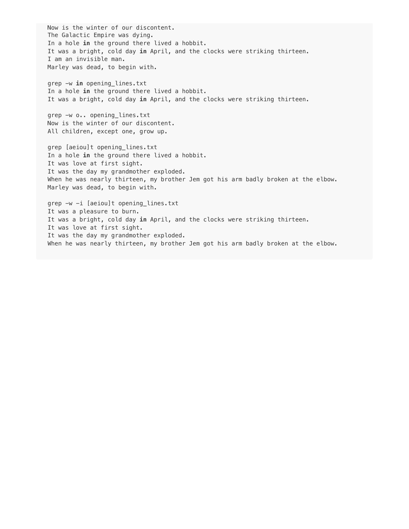Now is the winter of our discontent. The Galactic Empire was dying. In a hole **in** the ground there lived a hobbit. It was a bright, cold day **in** April, and the clocks were striking thirteen. I am an invisible man. Marley was dead, to begin with.

grep -w **in** opening\_lines.txt In a hole **in** the ground there lived a hobbit. It was a bright, cold day **in** April, and the clocks were striking thirteen.

grep -w o.. opening\_lines.txt Now is the winter of our discontent. All children, except one, grow up.

grep [aeiou]t opening\_lines.txt In a hole **in** the ground there lived a hobbit. It was love at first sight. It was the day my grandmother exploded. When he was nearly thirteen, my brother Jem got his arm badly broken at the elbow. Marley was dead, to begin with.

grep -w -i [aeiou]t opening\_lines.txt It was a pleasure to burn. It was a bright, cold day **in** April, and the clocks were striking thirteen. It was love at first sight. It was the day my grandmother exploded. When he was nearly thirteen, my brother Jem got his arm badly broken at the elbow.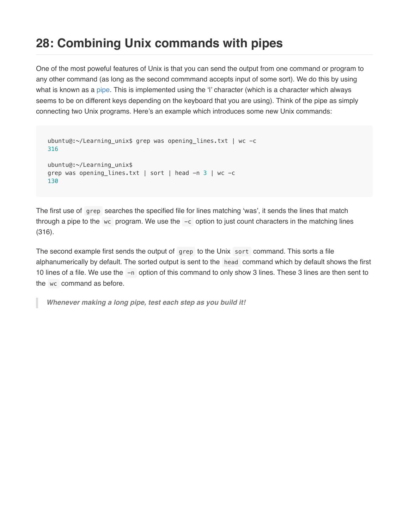### **28: Combining Unix commands with pipes**

One of the most poweful features of Unix is that you can send the output from one command or program to any other command (as long as the second commmand accepts input of some sort). We do this by using what is known as a [pipe.](http://en.wikipedia.org/wiki/Pipe_(Unix)) This is implemented using the 'I' character (which is a character which always seems to be on different keys depending on the keyboard that you are using). Think of the pipe as simply connecting two Unix programs. Here's an example which introduces some new Unix commands:

```
ubuntu@:~/Learning_unix$ grep was opening_lines.txt | wc -c
316
ubuntu@:~/Learning_unix$
grep was opening_lines.txt | sort | head -n 3 | wc -c
130
```
The first use of grep searches the specified file for lines matching 'was', it sends the lines that match through a pipe to the wc program. We use the -c option to just count characters in the matching lines (316).

The second example first sends the output of grep to the Unix sort command. This sorts a file alphanumerically by default. The sorted output is sent to the head command which by default shows the first 10 lines of a file. We use the -n option of this command to only show 3 lines. These 3 lines are then sent to the wc command as before.

*Whenever making a long pipe, test each step as you build it!*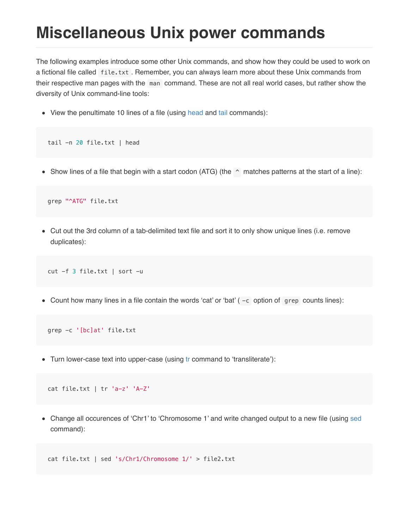# **Miscellaneous Unix power commands**

The following examples introduce some other Unix commands, and show how they could be used to work on a fictional file called file.txt . Remember, you can always learn more about these Unix commands from their respective man pages with the man command. These are not all real world cases, but rather show the diversity of Unix command-line tools:

• View the penultimate 10 lines of a file (using [head](http://en.wikipedia.org/wiki/Head_(Unix)) and [tail](http://en.wikipedia.org/wiki/Tail_(Unix)) commands):

```
tail -n 20 file.txt | head
```
• Show lines of a file that begin with a start codon (ATG) (the  $\land$  matches patterns at the start of a line):

```
grep "^ATG" file.txt
```
Cut out the 3rd column of a tab-delimited text file and sort it to only show unique lines (i.e. remove duplicates):

```
cut -f 3 file.txt | sort -u
```
 $\bullet$  Count how many lines in a file contain the words 'cat' or 'bat' ( $\text{-}c$  option of grep counts lines):

grep -c '[bc]at' file.txt

Turn lower-case text into upper-case (using [tr](http://en.wikipedia.org/wiki/Tr_(Unix)) command to 'transliterate'):

```
cat file.txt | tr 'a-z' 'A-Z'
```
Change all occurences of 'Chr1' to 'Chromosome 1' and write changed output to a new file (using [sed](http://en.wikipedia.org/wiki/Sed) command):

cat file.txt | sed 's/Chr1/Chromosome 1/' > file2.txt